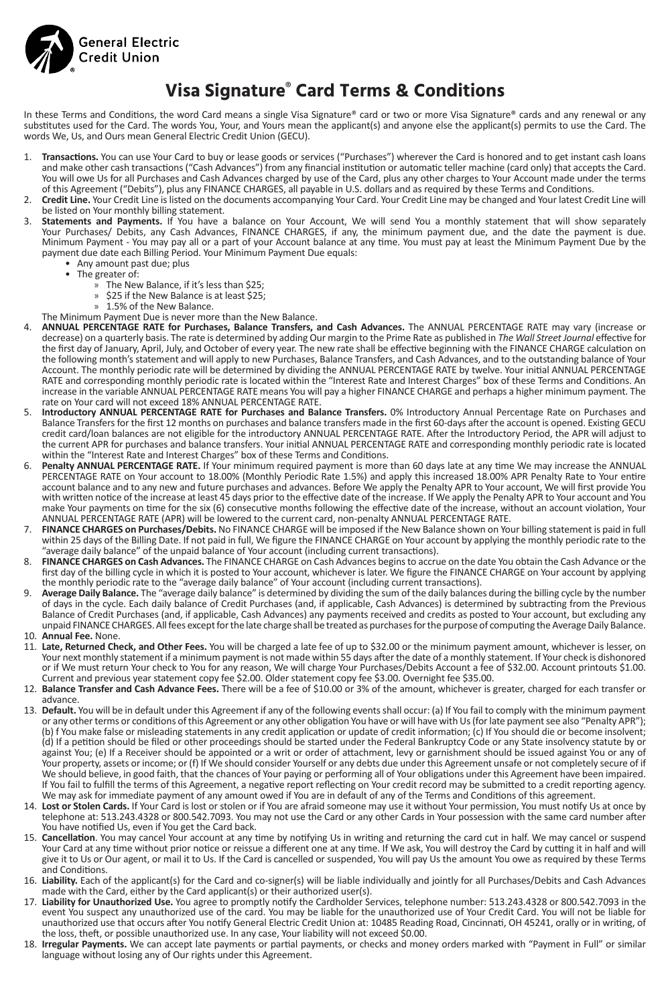

# **Visa Signature® Card Terms & Conditions**

In these Terms and Conditions, the word Card means a single Visa Signature® card or two or more Visa Signature® cards and any renewal or any substitutes used for the Card. The words You, Your, and Yours mean the applicant(s) and anyone else the applicant(s) permits to use the Card. The words We, Us, and Ours mean General Electric Credit Union (GECU).

- 1. **Transactions.** You can use Your Card to buy or lease goods or services ("Purchases") wherever the Card is honored and to get instant cash loans and make other cash transactions ("Cash Advances") from any financial institution or automatic teller machine (card only) that accepts the Card. You will owe Us for all Purchases and Cash Advances charged by use of the Card, plus any other charges to Your Account made under the terms of this Agreement ("Debits"), plus any FINANCE CHARGES, all payable in U.S. dollars and as required by these Terms and Conditions.
- 2. **Credit Line.** Your Credit Line is listed on the documents accompanying Your Card. Your Credit Line may be changed and Your latest Credit Line will be listed on Your monthly billing statement.
- 3. **Statements and Payments.** If You have a balance on Your Account, We will send You a monthly statement that will show separately Your Purchases/ Debits, any Cash Advances, FINANCE CHARGES, if any, the minimum payment due, and the date the payment is due. Minimum Payment - You may pay all or a part of your Account balance at any time. You must pay at least the Minimum Payment Due by the payment due date each Billing Period. Your Minimum Payment Due equals:
	- Any amount past due; plus
	- The greater of:
		- The New Balance, if it's less than \$25;
			- » \$25 if the New Balance is at least \$25;
			- » 1.5% of the New Balance.
	- The Minimum Payment Due is never more than the New Balance.
- 4. **ANNUAL PERCENTAGE RATE for Purchases, Balance Transfers, and Cash Advances.** The ANNUAL PERCENTAGE RATE may vary (increase or decrease) on a quarterly basis. The rate is determined by adding Our margin to the Prime Rate as published in *The Wall Street Journal* effective for the first day of January, April, July, and October of every year. The new rate shall be effective beginning with the FINANCE CHARGE calculation on the following month's statement and will apply to new Purchases, Balance Transfers, and Cash Advances, and to the outstanding balance of Your Account. The monthly periodic rate will be determined by dividing the ANNUAL PERCENTAGE RATE by twelve. Your initial ANNUAL PERCENTAGE RATE and corresponding monthly periodic rate is located within the "Interest Rate and Interest Charges" box of these Terms and Conditions. An increase in the variable ANNUAL PERCENTAGE RATE means You will pay a higher FINANCE CHARGE and perhaps a higher minimum payment. The rate on Your card will not exceed 18% ANNUAL PERCENTAGE RATE.
- 5. **Introductory ANNUAL PERCENTAGE RATE for Purchases and Balance Transfers.** 0% Introductory Annual Percentage Rate on Purchases and Balance Transfers for the first 12 months on purchases and balance transfers made in the first 60-days after the account is opened. Existing GECU credit card/loan balances are not eligible for the introductory ANNUAL PERCENTAGE RATE. After the Introductory Period, the APR will adjust to the current APR for purchases and balance transfers. Your initial ANNUAL PERCENTAGE RATE and corresponding monthly periodic rate is located within the "Interest Rate and Interest Charges" box of these Terms and Conditions.
- 6. **Penalty ANNUAL PERCENTAGE RATE.** If Your minimum required payment is more than 60 days late at any time We may increase the ANNUAL PERCENTAGE RATE on Your account to 18.00% (Monthly Periodic Rate 1.5%) and apply this increased 18.00% APR Penalty Rate to Your entire account balance and to any new and future purchases and advances. Before We apply the Penalty APR to Your account, We will first provide You with written notice of the increase at least 45 days prior to the effective date of the increase. If We apply the Penalty APR to Your account and You make Your payments on time for the six (6) consecutive months following the effective date of the increase, without an account violation, Your ANNUAL PERCENTAGE RATE (APR) will be lowered to the current card, non-penalty ANNUAL PERCENTAGE RATE.
- 7. **FINANCE CHARGES on Purchases/Debits.** No FINANCE CHARGE will be imposed if the New Balance shown on Your billing statement is paid in full within 25 days of the Billing Date. If not paid in full, We figure the FINANCE CHARGE on Your account by applying the monthly periodic rate to the "average daily balance" of the unpaid balance of Your account (including current transactions).
- 8. **FINANCE CHARGES on Cash Advances.** The FINANCE CHARGE on Cash Advances begins to accrue on the date You obtain the Cash Advance or the first day of the billing cycle in which it is posted to Your account, whichever is later. We figure the FINANCE CHARGE on Your account by applying the monthly periodic rate to the "average daily balance" of Your account (including current transactions).
- 9. **Average Daily Balance.** The "average daily balance" is determined by dividing the sum of the daily balances during the billing cycle by the number of days in the cycle. Each daily balance of Credit Purchases (and, if applicable, Cash Advances) is determined by subtracting from the Previous Balance of Credit Purchases (and, if applicable, Cash Advances) any payments received and credits as posted to Your account, but excluding any unpaid FINANCE CHARGES. All fees except for the late charge shall be treated as purchases for the purpose of computing the Average Daily Balance. 10. **Annual Fee.** None.
- 11. **Late, Returned Check, and Other Fees.** You will be charged a late fee of up to \$32.00 or the minimum payment amount, whichever is lesser, on Your next monthly statement if a minimum payment is not made within 55 days after the date of a monthly statement. If Your check is dishonored or if We must return Your check to You for any reason, We will charge Your Purchases/Debits Account a fee of \$32.00. Account printouts \$1.00. Current and previous year statement copy fee \$2.00. Older statement copy fee \$3.00. Overnight fee \$35.00.
- 12. **Balance Transfer and Cash Advance Fees.** There will be a fee of \$10.00 or 3% of the amount, whichever is greater, charged for each transfer or advance.
- 13. **Default.** You will be in default under this Agreement if any of the following events shall occur: (a) If You fail to comply with the minimum payment or any other terms or conditions of this Agreement or any other obligation You have or will have with Us (for late payment see also "Penalty APR"); (b) f You make false or misleading statements in any credit application or update of credit information; (c) If You should die or become insolvent; (d) If a petition should be filed or other proceedings should be started under the Federal Bankruptcy Code or any State insolvency statute by or against You; (e) If a Receiver should be appointed or a writ or order of attachment, levy or garnishment should be issued against You or any of Your property, assets or income; or (f) If We should consider Yourself or any debts due under this Agreement unsafe or not completely secure of if We should believe, in good faith, that the chances of Your paying or performing all of Your obligations under this Agreement have been impaired. If You fail to fulfill the terms of this Agreement, a negative report reflecting on Your credit record may be submitted to a credit reporting agency. We may ask for immediate payment of any amount owed if You are in default of any of the Terms and Conditions of this agreement.
- 14. **Lost or Stolen Cards.** If Your Card is lost or stolen or if You are afraid someone may use it without Your permission, You must notify Us at once by telephone at: 513.243.4328 or 800.542.7093. You may not use the Card or any other Cards in Your possession with the same card number after You have notified Us, even if You get the Card back.
- 15. **Cancellation**. You may cancel Your account at any time by notifying Us in writing and returning the card cut in half. We may cancel or suspend Your Card at any time without prior notice or reissue a different one at any time. If We ask, You will destroy the Card by cutting it in half and will give it to Us or Our agent, or mail it to Us. If the Card is cancelled or suspended, You will pay Us the amount You owe as required by these Terms and Conditions.
- 16. **Liability.** Each of the applicant(s) for the Card and co-signer(s) will be liable individually and jointly for all Purchases/Debits and Cash Advances made with the Card, either by the Card applicant(s) or their authorized user(s).
- 17. **Liability for Unauthorized Use.** You agree to promptly notify the Cardholder Services, telephone number: 513.243.4328 or 800.542.7093 in the event You suspect any unauthorized use of the card. You may be liable for the unauthorized use of Your Credit Card. You will not be liable for unauthorized use that occurs after You notify General Electric Credit Union at: 10485 Reading Road, Cincinnati, OH 45241, orally or in writing, of the loss, theft, or possible unauthorized use. In any case, Your liability will not exceed \$0.00.
- 18. **Irregular Payments.** We can accept late payments or partial payments, or checks and money orders marked with "Payment in Full" or similar language without losing any of Our rights under this Agreement.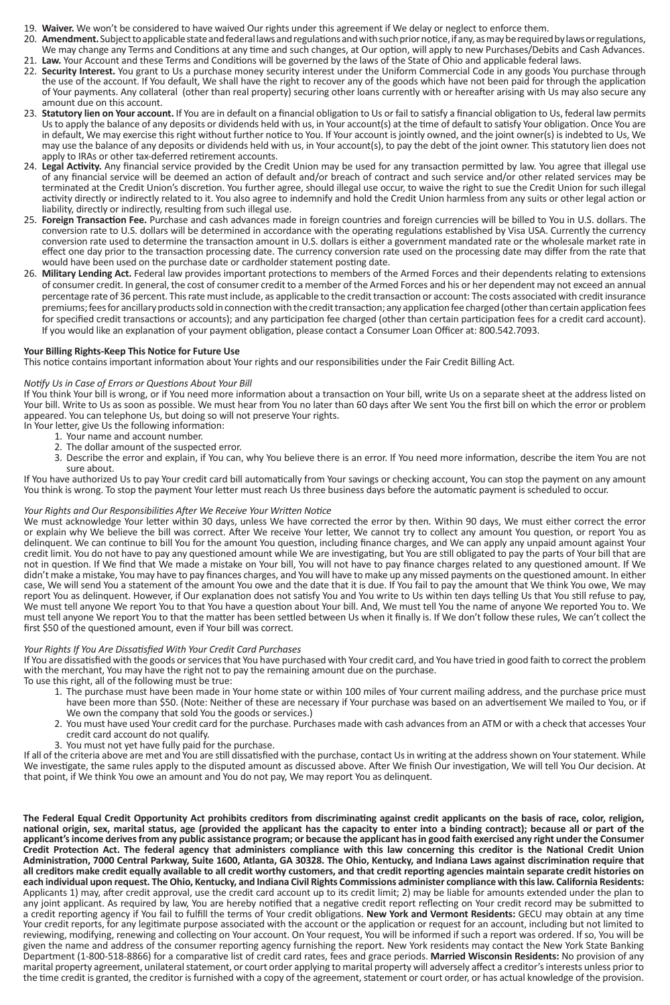- 19. **Waiver.** We won't be considered to have waived Our rights under this agreement if We delay or neglect to enforce them.
- 20. **Amendment.** Subject to applicable state and federal laws and regulations and with such prior notice, if any, as may be required by laws or regulations, We may change any Terms and Conditions at any time and such changes, at Our option, will apply to new Purchases/Debits and Cash Advances. 21. **Law.** Your Account and these Terms and Conditions will be governed by the laws of the State of Ohio and applicable federal laws.
- 22. **Security Interest.** You grant to Us a purchase money security interest under the Uniform Commercial Code in any goods You purchase through the use of the account. If You default, We shall have the right to recover any of the goods which have not been paid for through the application of Your payments. Any collateral (other than real property) securing other loans currently with or hereafter arising with Us may also secure any amount due on this account.
- 23. **Statutory lien on Your account.** If You are in default on a financial obligation to Us or fail to satisfy a financial obligation to Us, federal law permits Us to apply the balance of any deposits or dividends held with us, in Your account(s) at the time of default to satisfy Your obligation. Once You are in default, We may exercise this right without further notice to You. If Your account is jointly owned, and the joint owner(s) is indebted to Us, We may use the balance of any deposits or dividends held with us, in Your account(s), to pay the debt of the joint owner. This statutory lien does not apply to IRAs or other tax-deferred retirement accounts.
- 24. Legal Activity. Any financial service provided by the Credit Union may be used for any transaction permitted by law. You agree that illegal use of any financial service will be deemed an action of default and/or breach of contract and such service and/or other related services may be terminated at the Credit Union's discretion. You further agree, should illegal use occur, to waive the right to sue the Credit Union for such illegal activity directly or indirectly related to it. You also agree to indemnify and hold the Credit Union harmless from any suits or other legal action or liability, directly or indirectly, resulting from such illegal use.
- 25. **Foreign Transaction Fee.** Purchase and cash advances made in foreign countries and foreign currencies will be billed to You in U.S. dollars. The conversion rate to U.S. dollars will be determined in accordance with the operating regulations established by Visa USA. Currently the currency conversion rate used to determine the transaction amount in U.S. dollars is either a government mandated rate or the wholesale market rate in effect one day prior to the transaction processing date. The currency conversion rate used on the processing date may differ from the rate that would have been used on the purchase date or cardholder statement posting date.
- 26. **Military Lending Act.** Federal law provides important protections to members of the Armed Forces and their dependents relating to extensions of consumer credit. In general, the cost of consumer credit to a member of the Armed Forces and his or her dependent may not exceed an annual percentage rate of 36 percent. This rate must include, as applicable to the credit transaction or account: The costs associated with credit insurance premiums; fees for ancillary products sold in connection with the credit transaction; any application fee charged (other than certain application fees for specified credit transactions or accounts); and any participation fee charged (other than certain participation fees for a credit card account). If you would like an explanation of your payment obligation, please contact a Consumer Loan Officer at: 800.542.7093.

## **Your Billing Rights-Keep This Notice for Future Use**

This notice contains important information about Your rights and our responsibilities under the Fair Credit Billing Act.

## *Notify Us in Case of Errors or Questions About Your Bill*

If You think Your bill is wrong, or if You need more information about a transaction on Your bill, write Us on a separate sheet at the address listed on Your bill. Write to Us as soon as possible. We must hear from You no later than 60 days after We sent You the first bill on which the error or problem appeared. You can telephone Us, but doing so will not preserve Your rights.

- In Your letter, give Us the following information:
	- 1. Your name and account number. 2. The dollar amount of the suspected error.
	- 3. Describe the error and explain, if You can, why You believe there is an error. If You need more information, describe the item You are not sure about.

If You have authorized Us to pay Your credit card bill automatically from Your savings or checking account, You can stop the payment on any amount You think is wrong. To stop the payment Your letter must reach Us three business days before the automatic payment is scheduled to occur.

#### *Your Rights and Our Responsibilities After We Receive Your Written Notice*

We must acknowledge Your letter within 30 days, unless We have corrected the error by then. Within 90 days, We must either correct the error or explain why We believe the bill was correct. After We receive Your letter, We cannot try to collect any amount You question, or report You as delinquent. We can continue to bill You for the amount You question, including finance charges, and We can apply any unpaid amount against Your credit limit. You do not have to pay any questioned amount while We are investigating, but You are still obligated to pay the parts of Your bill that are not in question. If We find that We made a mistake on Your bill, You will not have to pay finance charges related to any questioned amount. If We didn't make a mistake, You may have to pay finances charges, and You will have to make up any missed payments on the questioned amount. In either case, We will send You a statement of the amount You owe and the date that it is due. If You fail to pay the amount that We think You owe, We may report You as delinquent. However, if Our explanation does not satisfy You and You write to Us within ten days telling Us that You still refuse to pay, We must tell anyone We report You to that You have a question about Your bill. And, We must tell You the name of anyone We reported You to. We must tell anyone We report You to that the matter has been settled between Us when it finally is. If We don't follow these rules, We can't collect the first \$50 of the questioned amount, even if Your bill was correct.

#### *Your Rights If You Are Dissatisfied With Your Credit Card Purchases*

If You are dissatisfied with the goods or services that You have purchased with Your credit card, and You have tried in good faith to correct the problem with the merchant, You may have the right not to pay the remaining amount due on the purchase.

To use this right, all of the following must be true:

- 1. The purchase must have been made in Your home state or within 100 miles of Your current mailing address, and the purchase price must have been more than \$50. (Note: Neither of these are necessary if Your purchase was based on an advertisement We mailed to You, or if We own the company that sold You the goods or services.)
- 2. You must have used Your credit card for the purchase. Purchases made with cash advances from an ATM or with a check that accesses Your credit card account do not qualify.
- 3. You must not yet have fully paid for the purchase.

If all of the criteria above are met and You are still dissatisfied with the purchase, contact Us in writing at the address shown on Your statement. While We investigate, the same rules apply to the disputed amount as discussed above. After We finish Our investigation, We will tell You Our decision. At that point, if We think You owe an amount and You do not pay, We may report You as delinquent.

**The Federal Equal Credit Opportunity Act prohibits creditors from discriminating against credit applicants on the basis of race, color, religion, national origin, sex, marital status, age (provided the applicant has the capacity to enter into a binding contract); because all or part of the applicant's income derives from any public assistance program; or because the applicant has in good faith exercised any right under the Consumer Credit Protection Act. The federal agency that administers compliance with this law concerning this creditor is the National Credit Union Administration, 7000 Central Parkway, Suite 1600, Atlanta, GA 30328. The Ohio, Kentucky, and Indiana Laws against discrimination require that all creditors make credit equally available to all credit worthy customers, and that credit reporting agencies maintain separate credit histories on each individual upon request. The Ohio, Kentucky, and Indiana Civil Rights Commissions administer compliance with this law. California Residents:** Applicants 1) may, after credit approval, use the credit card account up to its credit limit; 2) may be liable for amounts extended under the plan to any joint applicant. As required by law, You are hereby notified that a negative credit report reflecting on Your credit record may be submitted to a credit reporting agency if You fail to fulfill the terms of Your credit obligations. **New York and Vermont Residents:** GECU may obtain at any time Your credit reports, for any legitimate purpose associated with the account or the application or request for an account, including but not limited to reviewing, modifying, renewing and collecting on Your account. On Your request, You will be informed if such a report was ordered. If so, You will be given the name and address of the consumer reporting agency furnishing the report. New York residents may contact the New York State Banking Department (1-800-518-8866) for a comparative list of credit card rates, fees and grace periods. **Married Wisconsin Residents:** No provision of any marital property agreement, unilateral statement, or court order applying to marital property will adversely affect a creditor's interests unless prior to the time credit is granted, the creditor is furnished with a copy of the agreement, statement or court order, or has actual knowledge of the provision.